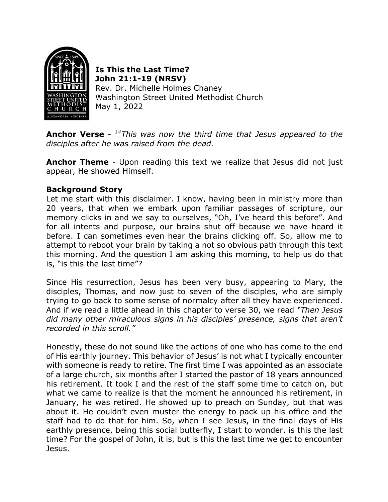

**Is This the Last Time? John 21:1-19 (NRSV)** Rev. Dr. Michelle Holmes Chaney Washington Street United Methodist Church May 1, 2022

**Anchor Verse** - *14This was now the third time that Jesus appeared to the disciples after he was raised from the dead.*

**Anchor Theme** - Upon reading this text we realize that Jesus did not just appear, He showed Himself.

## **Background Story**

Let me start with this disclaimer. I know, having been in ministry more than 20 years, that when we embark upon familiar passages of scripture, our memory clicks in and we say to ourselves, "Oh, I've heard this before". And for all intents and purpose, our brains shut off because we have heard it before. I can sometimes even hear the brains clicking off. So, allow me to attempt to reboot your brain by taking a not so obvious path through this text this morning. And the question I am asking this morning, to help us do that is, "is this the last time"?

Since His resurrection, Jesus has been very busy, appearing to Mary, the disciples, Thomas, and now just to seven of the disciples, who are simply trying to go back to some sense of normalcy after all they have experienced. And if we read a little ahead in this chapter to verse 30, we read *"Then Jesus did many other miraculous signs in his disciples' presence, signs that aren't recorded in this scroll."*

Honestly, these do not sound like the actions of one who has come to the end of His earthly journey. This behavior of Jesus' is not what I typically encounter with someone is ready to retire. The first time I was appointed as an associate of a large church, six months after I started the pastor of 18 years announced his retirement. It took I and the rest of the staff some time to catch on, but what we came to realize is that the moment he announced his retirement, in January, he was retired. He showed up to preach on Sunday, but that was about it. He couldn't even muster the energy to pack up his office and the staff had to do that for him. So, when I see Jesus, in the final days of His earthly presence, being this social butterfly, I start to wonder, is this the last time? For the gospel of John, it is, but is this the last time we get to encounter Jesus.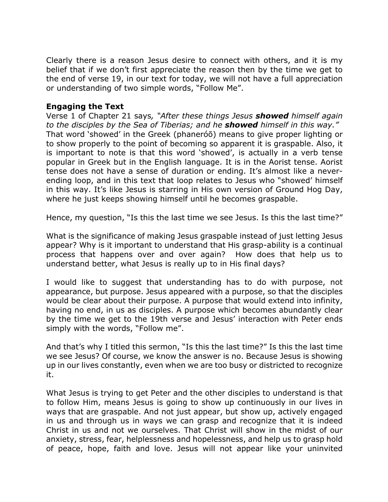Clearly there is a reason Jesus desire to connect with others, and it is my belief that if we don't first appreciate the reason then by the time we get to the end of verse 19, in our text for today, we will not have a full appreciation or understanding of two simple words, "Follow Me".

## **Engaging the Text**

Verse 1 of Chapter 21 says*, "After these things Jesus showed himself again to the disciples by the Sea of Tiberias; and he showed himself in this way."* That word 'showed' in the Greek (phaneróō) means to give proper lighting or to show properly to the point of becoming so apparent it is graspable. Also, it is important to note is that this word 'showed', is actually in a verb tense popular in Greek but in the English language. It is in the Aorist tense. Aorist tense does not have a sense of duration or ending. It's almost like a neverending loop, and in this text that loop relates to Jesus who "showed' himself in this way. It's like Jesus is starring in His own version of Ground Hog Day, where he just keeps showing himself until he becomes graspable.

Hence, my question, "Is this the last time we see Jesus. Is this the last time?"

What is the significance of making Jesus graspable instead of just letting Jesus appear? Why is it important to understand that His grasp-ability is a continual process that happens over and over again? How does that help us to understand better, what Jesus is really up to in His final days?

I would like to suggest that understanding has to do with purpose, not appearance, but purpose. Jesus appeared with a purpose, so that the disciples would be clear about their purpose. A purpose that would extend into infinity, having no end, in us as disciples. A purpose which becomes abundantly clear by the time we get to the 19th verse and Jesus' interaction with Peter ends simply with the words, "Follow me".

And that's why I titled this sermon, "Is this the last time?" Is this the last time we see Jesus? Of course, we know the answer is no. Because Jesus is showing up in our lives constantly, even when we are too busy or districted to recognize it.

What Jesus is trying to get Peter and the other disciples to understand is that to follow Him, means Jesus is going to show up continuously in our lives in ways that are graspable. And not just appear, but show up, actively engaged in us and through us in ways we can grasp and recognize that it is indeed Christ in us and not we ourselves. That Christ will show in the midst of our anxiety, stress, fear, helplessness and hopelessness, and help us to grasp hold of peace, hope, faith and love. Jesus will not appear like your uninvited